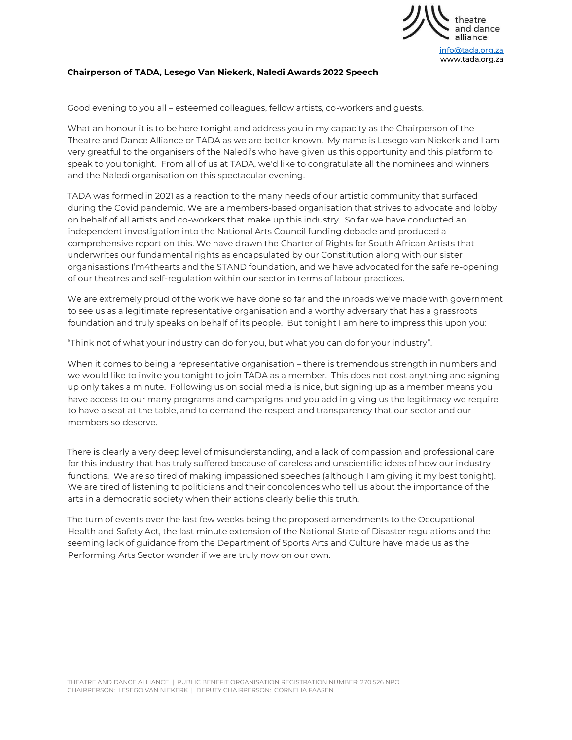

## **Chairperson of TADA, Lesego Van Niekerk, Naledi Awards 2022 Speech**

Good evening to you all – esteemed colleagues, fellow artists, co-workers and guests.

What an honour it is to be here tonight and address you in my capacity as the Chairperson of the Theatre and Dance Alliance or TADA as we are better known. My name is Lesego van Niekerk and I am very greatful to the organisers of the Naledi's who have given us this opportunity and this platform to speak to you tonight. From all of us at TADA, we'd like to congratulate all the nominees and winners and the Naledi organisation on this spectacular evening.

TADA was formed in 2021 as a reaction to the many needs of our artistic community that surfaced during the Covid pandemic. We are a members-based organisation that strives to advocate and lobby on behalf of all artists and co-workers that make up this industry. So far we have conducted an independent investigation into the National Arts Council funding debacle and produced a comprehensive report on this. We have drawn the Charter of Rights for South African Artists that underwrites our fundamental rights as encapsulated by our Constitution along with our sister organisastions I'm4thearts and the STAND foundation, and we have advocated for the safe re-opening of our theatres and self-regulation within our sector in terms of labour practices.

We are extremely proud of the work we have done so far and the inroads we've made with government to see us as a legitimate representative organisation and a worthy adversary that has a grassroots foundation and truly speaks on behalf of its people. But tonight I am here to impress this upon you:

"Think not of what your industry can do for you, but what you can do for your industry".

When it comes to being a representative organisation – there is tremendous strength in numbers and we would like to invite you tonight to join TADA as a member. This does not cost anything and signing up only takes a minute. Following us on social media is nice, but signing up as a member means you have access to our many programs and campaigns and you add in giving us the legitimacy we require to have a seat at the table, and to demand the respect and transparency that our sector and our members so deserve.

There is clearly a very deep level of misunderstanding, and a lack of compassion and professional care for this industry that has truly suffered because of careless and unscientific ideas of how our industry functions. We are so tired of making impassioned speeches (although I am giving it my best tonight). We are tired of listening to politicians and their concolences who tell us about the importance of the arts in a democratic society when their actions clearly belie this truth.

The turn of events over the last few weeks being the proposed amendments to the Occupational Health and Safety Act, the last minute extension of the National State of Disaster regulations and the seeming lack of guidance from the Department of Sports Arts and Culture have made us as the Performing Arts Sector wonder if we are truly now on our own.